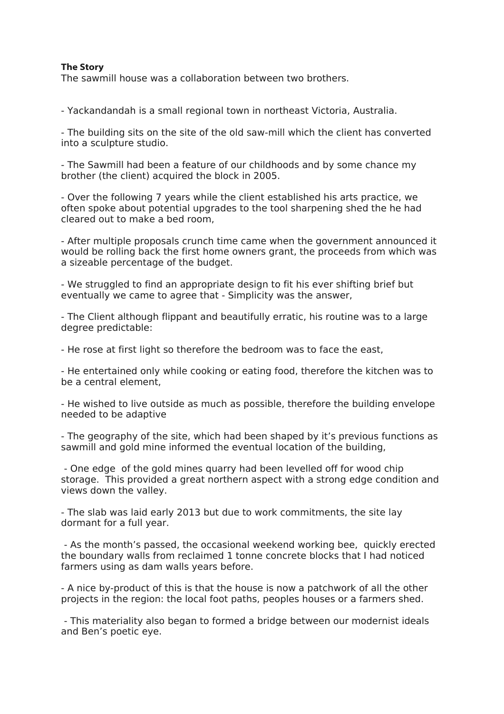## **The Story**

The sawmill house was a collaboration between two brothers.

- Yackandandah is a small regional town in northeast Victoria, Australia.

- The building sits on the site of the old saw-mill which the client has converted into a sculpture studio.

- The Sawmill had been a feature of our childhoods and by some chance my brother (the client) acquired the block in 2005.

- Over the following 7 years while the client established his arts practice, we often spoke about potential upgrades to the tool sharpening shed the he had cleared out to make a bed room,

- After multiple proposals crunch time came when the government announced it would be rolling back the first home owners grant, the proceeds from which was a sizeable percentage of the budget.

- We struggled to find an appropriate design to fit his ever shifting brief but eventually we came to agree that - Simplicity was the answer,

- The Client although flippant and beautifully erratic, his routine was to a large degree predictable:

- He rose at first light so therefore the bedroom was to face the east,

- He entertained only while cooking or eating food, therefore the kitchen was to be a central element,

- He wished to live outside as much as possible, therefore the building envelope needed to be adaptive

- The geography of the site, which had been shaped by it's previous functions as sawmill and gold mine informed the eventual location of the building,

 - One edge of the gold mines quarry had been levelled off for wood chip storage. This provided a great northern aspect with a strong edge condition and views down the valley.

- The slab was laid early 2013 but due to work commitments, the site lay dormant for a full year.

 - As the month's passed, the occasional weekend working bee, quickly erected the boundary walls from reclaimed 1 tonne concrete blocks that I had noticed farmers using as dam walls years before.

- A nice by-product of this is that the house is now a patchwork of all the other projects in the region: the local foot paths, peoples houses or a farmers shed.

 - This materiality also began to formed a bridge between our modernist ideals and Ben's poetic eye.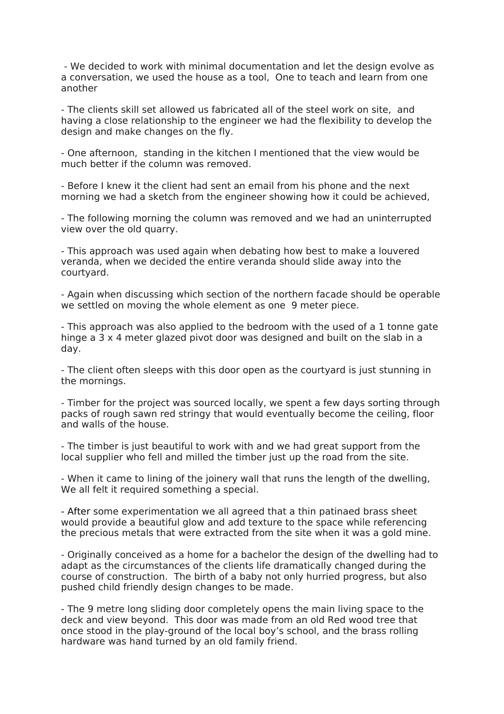- We decided to work with minimal documentation and let the design evolve as a conversation, we used the house as a tool, One to teach and learn from one another

- The clients skill set allowed us fabricated all of the steel work on site, and having a close relationship to the engineer we had the flexibility to develop the design and make changes on the fly.

- One afternoon, standing in the kitchen I mentioned that the view would be much better if the column was removed.

- Before I knew it the client had sent an email from his phone and the next morning we had a sketch from the engineer showing how it could be achieved,

- The following morning the column was removed and we had an uninterrupted view over the old quarry.

- This approach was used again when debating how best to make a louvered veranda, when we decided the entire veranda should slide away into the courtyard.

- Again when discussing which section of the northern facade should be operable we settled on moving the whole element as one 9 meter piece.

- This approach was also applied to the bedroom with the used of a 1 tonne gate hinge a 3 x 4 meter glazed pivot door was designed and built on the slab in a day.

- The client often sleeps with this door open as the courtyard is just stunning in the mornings.

- Timber for the project was sourced locally, we spent a few days sorting through packs of rough sawn red stringy that would eventually become the ceiling, floor and walls of the house.

- The timber is just beautiful to work with and we had great support from the local supplier who fell and milled the timber just up the road from the site.

- When it came to lining of the joinery wall that runs the length of the dwelling, We all felt it required something a special.

- After some experimentation we all agreed that a thin patinaed brass sheet would provide a beautiful glow and add texture to the space while referencing the precious metals that were extracted from the site when it was a gold mine.

- Originally conceived as a home for a bachelor the design of the dwelling had to adapt as the circumstances of the clients life dramatically changed during the course of construction. The birth of a baby not only hurried progress, but also pushed child friendly design changes to be made.

- The 9 metre long sliding door completely opens the main living space to the deck and view beyond. This door was made from an old Red wood tree that once stood in the play-ground of the local boy's school, and the brass rolling hardware was hand turned by an old family friend.